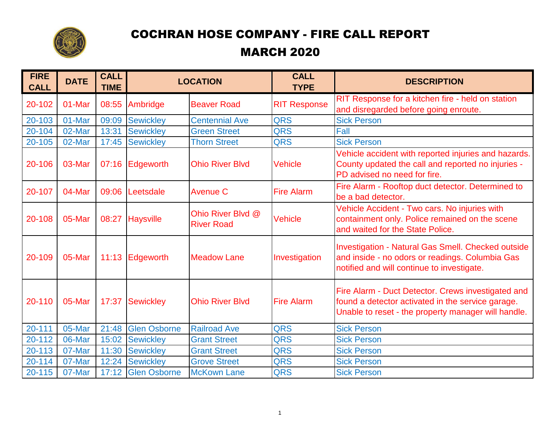

## COCHRAN HOSE COMPANY - FIRE CALL REPORT

## MARCH 2020

| <b>FIRE</b><br><b>CALL</b> | <b>DATE</b> | <b>CALL</b><br><b>TIME</b> | <b>LOCATION</b>     |                                        | <b>CALL</b><br><b>TYPE</b> | <b>DESCRIPTION</b>                                                                                                                                             |
|----------------------------|-------------|----------------------------|---------------------|----------------------------------------|----------------------------|----------------------------------------------------------------------------------------------------------------------------------------------------------------|
| 20-102                     | 01-Mar      | 08:55                      | Ambridge            | <b>Beaver Road</b>                     | <b>RIT Response</b>        | RIT Response for a kitchen fire - held on station<br>and disregarded before going enroute.                                                                     |
| 20-103                     | 01-Mar      | 09:09                      | <b>Sewickley</b>    | <b>Centennial Ave</b>                  | <b>QRS</b>                 | <b>Sick Person</b>                                                                                                                                             |
| 20-104                     | 02-Mar      | 13:31                      | <b>Sewickley</b>    | <b>Green Street</b>                    | <b>QRS</b>                 | Fall                                                                                                                                                           |
| 20-105                     | 02-Mar      | 17:45                      | <b>Sewickley</b>    | <b>Thorn Street</b>                    | <b>QRS</b>                 | <b>Sick Person</b>                                                                                                                                             |
| 20-106                     | 03-Mar      |                            | 07:16 Edgeworth     | <b>Ohio River Blvd</b>                 | <b>Vehicle</b>             | Vehicle accident with reported injuries and hazards.<br>County updated the call and reported no injuries -<br>PD advised no need for fire.                     |
| 20-107                     | 04-Mar      | 09:06                      | Leetsdale           | <b>Avenue C</b>                        | <b>Fire Alarm</b>          | Fire Alarm - Rooftop duct detector. Determined to<br>be a bad detector.                                                                                        |
| 20-108                     | 05-Mar      |                            | 08:27 Haysville     | Ohio River Blvd @<br><b>River Road</b> | <b>Vehicle</b>             | Vehicle Accident - Two cars. No injuries with<br>containment only. Police remained on the scene<br>and waited for the State Police.                            |
| 20-109                     | 05-Mar      |                            | 11:13 Edgeworth     | <b>Meadow Lane</b>                     | Investigation              | <b>Investigation - Natural Gas Smell. Checked outside</b><br>and inside - no odors or readings. Columbia Gas<br>notified and will continue to investigate.     |
| 20-110                     | 05-Mar      | 17:37                      | Sewickley           | <b>Ohio River Blvd</b>                 | <b>Fire Alarm</b>          | Fire Alarm - Duct Detector. Crews investigated and<br>found a detector activated in the service garage.<br>Unable to reset - the property manager will handle. |
| $20 - 111$                 | 05-Mar      | 21:48                      | <b>Glen Osborne</b> | <b>Railroad Ave</b>                    | <b>QRS</b>                 | <b>Sick Person</b>                                                                                                                                             |
| 20-112                     | 06-Mar      | 15:02                      | <b>Sewickley</b>    | <b>Grant Street</b>                    | <b>QRS</b>                 | <b>Sick Person</b>                                                                                                                                             |
| 20-113                     | 07-Mar      | 11:30                      | <b>Sewickley</b>    | <b>Grant Street</b>                    | <b>QRS</b>                 | <b>Sick Person</b>                                                                                                                                             |
| 20-114                     | 07-Mar      | 12:24                      | <b>Sewickley</b>    | <b>Grove Street</b>                    | <b>QRS</b>                 | <b>Sick Person</b>                                                                                                                                             |
| 20-115                     | 07-Mar      |                            | 17:12 Glen Osborne  | <b>McKown Lane</b>                     | <b>QRS</b>                 | <b>Sick Person</b>                                                                                                                                             |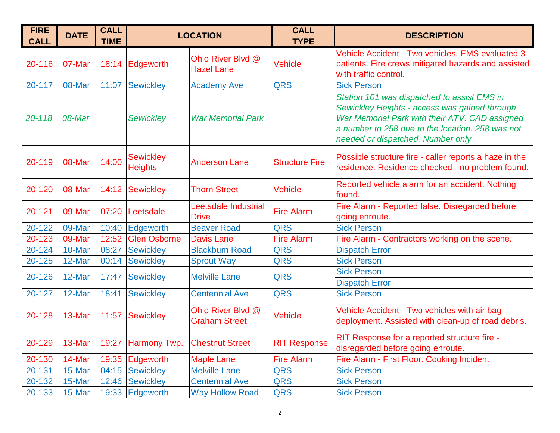| <b>FIRE</b><br><b>CALL</b> | <b>DATE</b> | <b>CALL</b><br><b>TIME</b> | <b>LOCATION</b>                    |                                           | <b>CALL</b><br><b>TYPE</b> | <b>DESCRIPTION</b>                                                                                                                                                                                                                       |
|----------------------------|-------------|----------------------------|------------------------------------|-------------------------------------------|----------------------------|------------------------------------------------------------------------------------------------------------------------------------------------------------------------------------------------------------------------------------------|
| 20-116                     | 07-Mar      | 18:14                      | Edgeworth                          | Ohio River Blvd @<br><b>Hazel Lane</b>    | <b>Vehicle</b>             | Vehicle Accident - Two vehicles. EMS evaluated 3<br>patients. Fire crews mitigated hazards and assisted<br>with traffic control.                                                                                                         |
| 20-117                     | 08-Mar      | 11:07                      | <b>Sewickley</b>                   | <b>Academy Ave</b>                        | <b>QRS</b>                 | <b>Sick Person</b>                                                                                                                                                                                                                       |
| 20-118                     | 08-Mar      |                            | <b>Sewickley</b>                   | <b>War Memorial Park</b>                  |                            | Station 101 was dispatched to assist EMS in<br>Sewickley Heights - access was gained through<br>War Memorial Park with their ATV. CAD assigned<br>a number to 258 due to the location. 258 was not<br>needed or dispatched. Number only. |
| 20-119                     | 08-Mar      | 14:00                      | <b>Sewickley</b><br><b>Heights</b> | <b>Anderson Lane</b>                      | <b>Structure Fire</b>      | Possible structure fire - caller reports a haze in the<br>residence. Residence checked - no problem found.                                                                                                                               |
| 20-120                     | 08-Mar      | 14:12                      | <b>Sewickley</b>                   | <b>Thorn Street</b>                       | <b>Vehicle</b>             | Reported vehicle alarm for an accident. Nothing<br>found.                                                                                                                                                                                |
| 20-121                     | 09-Mar      | 07:20                      | Leetsdale                          | Leetsdale Industrial<br><b>Drive</b>      | <b>Fire Alarm</b>          | Fire Alarm - Reported false. Disregarded before<br>going enroute.                                                                                                                                                                        |
| 20-122                     | 09-Mar      | 10:40                      | Edgeworth                          | <b>Beaver Road</b>                        | <b>QRS</b>                 | <b>Sick Person</b>                                                                                                                                                                                                                       |
| 20-123                     | 09-Mar      | 12:52                      | <b>Glen Osborne</b>                | <b>Davis Lane</b>                         | <b>Fire Alarm</b>          | Fire Alarm - Contractors working on the scene.                                                                                                                                                                                           |
| 20-124                     | 10-Mar      | 08:27                      | <b>Sewickley</b>                   | <b>Blackburn Road</b>                     | <b>QRS</b>                 | <b>Dispatch Error</b>                                                                                                                                                                                                                    |
| 20-125                     | 12-Mar      | 00:14                      | <b>Sewickley</b>                   | <b>Sprout Way</b>                         | <b>QRS</b>                 | <b>Sick Person</b>                                                                                                                                                                                                                       |
| 20-126                     | 12-Mar      | 17:47                      | <b>Sewickley</b>                   | <b>Melville Lane</b>                      | <b>QRS</b>                 | <b>Sick Person</b>                                                                                                                                                                                                                       |
|                            |             |                            |                                    |                                           |                            | <b>Dispatch Error</b>                                                                                                                                                                                                                    |
| 20-127                     | 12-Mar      | 18:41                      | <b>Sewickley</b>                   | <b>Centennial Ave</b>                     | <b>QRS</b>                 | <b>Sick Person</b>                                                                                                                                                                                                                       |
| 20-128                     | 13-Mar      | 11:57                      | <b>Sewickley</b>                   | Ohio River Blvd @<br><b>Graham Street</b> | <b>Vehicle</b>             | Vehicle Accident - Two vehicles with air bag<br>deployment. Assisted with clean-up of road debris.                                                                                                                                       |
| 20-129                     | 13-Mar      |                            | 19:27 Harmony Twp.                 | <b>Chestnut Street</b>                    | <b>RIT Response</b>        | RIT Response for a reported structure fire -<br>disregarded before going enroute.                                                                                                                                                        |
| 20-130                     | 14-Mar      |                            | 19:35 Edgeworth                    | <b>Maple Lane</b>                         | <b>Fire Alarm</b>          | Fire Alarm - First Floor. Cooking Incident                                                                                                                                                                                               |
| 20-131                     | 15-Mar      |                            | 04:15 Sewickley                    | <b>Melville Lane</b>                      | <b>QRS</b>                 | <b>Sick Person</b>                                                                                                                                                                                                                       |
| 20-132                     | 15-Mar      | 12:46                      | Sewickley                          | <b>Centennial Ave</b>                     | <b>QRS</b>                 | <b>Sick Person</b>                                                                                                                                                                                                                       |
| 20-133                     | 15-Mar      |                            | 19:33 Edgeworth                    | <b>Way Hollow Road</b>                    | <b>QRS</b>                 | <b>Sick Person</b>                                                                                                                                                                                                                       |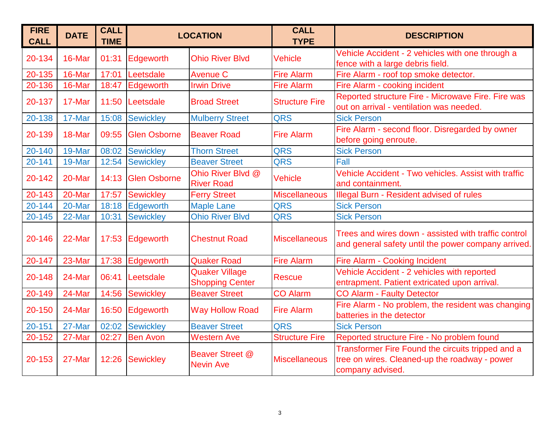| <b>FIRE</b><br><b>CALL</b> | <b>DATE</b> | <b>CALL</b><br><b>TIME</b> | <b>LOCATION</b>     |                                                 | <b>CALL</b><br><b>TYPE</b> | <b>DESCRIPTION</b>                                                                                                     |
|----------------------------|-------------|----------------------------|---------------------|-------------------------------------------------|----------------------------|------------------------------------------------------------------------------------------------------------------------|
| 20-134                     | 16-Mar      | 01:31                      | Edgeworth           | <b>Ohio River Blvd</b>                          | <b>Vehicle</b>             | Vehicle Accident - 2 vehicles with one through a<br>fence with a large debris field.                                   |
| 20-135                     | 16-Mar      | 17:01                      | Leetsdale           | <b>Avenue C</b>                                 | <b>Fire Alarm</b>          | Fire Alarm - roof top smoke detector.                                                                                  |
| 20-136                     | 16-Mar      | 18:47                      | Edgeworth           | <b>Irwin Drive</b>                              | <b>Fire Alarm</b>          | Fire Alarm - cooking incident                                                                                          |
| 20-137                     | 17-Mar      | 11:50                      | Leetsdale           | <b>Broad Street</b>                             | <b>Structure Fire</b>      | Reported structure Fire - Microwave Fire. Fire was<br>out on arrival - ventilation was needed.                         |
| 20-138                     | 17-Mar      | 15:08                      | <b>Sewickley</b>    | <b>Mulberry Street</b>                          | <b>QRS</b>                 | <b>Sick Person</b>                                                                                                     |
| 20-139                     | 18-Mar      | 09:55                      | <b>Glen Osborne</b> | <b>Beaver Road</b>                              | <b>Fire Alarm</b>          | Fire Alarm - second floor. Disregarded by owner<br>before going enroute.                                               |
| 20-140                     | 19-Mar      | 08:02                      | <b>Sewickley</b>    | <b>Thorn Street</b>                             | <b>QRS</b>                 | <b>Sick Person</b>                                                                                                     |
| 20-141                     | 19-Mar      | 12:54                      | <b>Sewickley</b>    | <b>Beaver Street</b>                            | <b>QRS</b>                 | Fall                                                                                                                   |
| 20-142                     | 20-Mar      | 14:13                      | <b>Glen Osborne</b> | Ohio River Blvd @<br><b>River Road</b>          | <b>Vehicle</b>             | Vehicle Accident - Two vehicles, Assist with traffic<br>and containment.                                               |
| 20-143                     | 20-Mar      | 17:57                      | <b>Sewickley</b>    | <b>Ferry Street</b>                             | <b>Miscellaneous</b>       | Illegal Burn - Resident advised of rules                                                                               |
| 20-144                     | 20-Mar      | 18:18                      | Edgeworth           | <b>Maple Lane</b>                               | <b>QRS</b>                 | <b>Sick Person</b>                                                                                                     |
| 20-145                     | 22-Mar      | 10:31                      | <b>Sewickley</b>    | <b>Ohio River Blvd</b>                          | <b>QRS</b>                 | <b>Sick Person</b>                                                                                                     |
| 20-146                     | 22-Mar      | 17:53                      | Edgeworth           | <b>Chestnut Road</b>                            | <b>Miscellaneous</b>       | Trees and wires down - assisted with traffic control<br>and general safety until the power company arrived.            |
| 20-147                     | 23-Mar      | 17:38                      | Edgeworth           | <b>Quaker Road</b>                              | <b>Fire Alarm</b>          | Fire Alarm - Cooking Incident                                                                                          |
| 20-148                     | 24-Mar      | 06:41                      | Leetsdale           | <b>Quaker Village</b><br><b>Shopping Center</b> | <b>Rescue</b>              | Vehicle Accident - 2 vehicles with reported<br>entrapment. Patient extricated upon arrival.                            |
| 20-149                     | 24-Mar      | 14:56                      | <b>Sewickley</b>    | <b>Beaver Street</b>                            | <b>CO Alarm</b>            | <b>CO Alarm - Faulty Detector</b>                                                                                      |
| 20-150                     | 24-Mar      | 16:50                      | Edgeworth           | <b>Way Hollow Road</b>                          | <b>Fire Alarm</b>          | Fire Alarm - No problem, the resident was changing<br>batteries in the detector                                        |
| 20-151                     | 27-Mar      | 02:02                      | <b>Sewickley</b>    | <b>Beaver Street</b>                            | QRS                        | <b>Sick Person</b>                                                                                                     |
| 20-152                     | 27-Mar      | 02:27                      | <b>Ben Avon</b>     | <b>Western Ave</b>                              | <b>Structure Fire</b>      | Reported structure Fire - No problem found                                                                             |
| 20-153                     | 27-Mar      | 12:26                      | <b>Sewickley</b>    | Beaver Street @<br><b>Nevin Ave</b>             | <b>Miscellaneous</b>       | Transformer Fire Found the circuits tripped and a<br>tree on wires. Cleaned-up the roadway - power<br>company advised. |